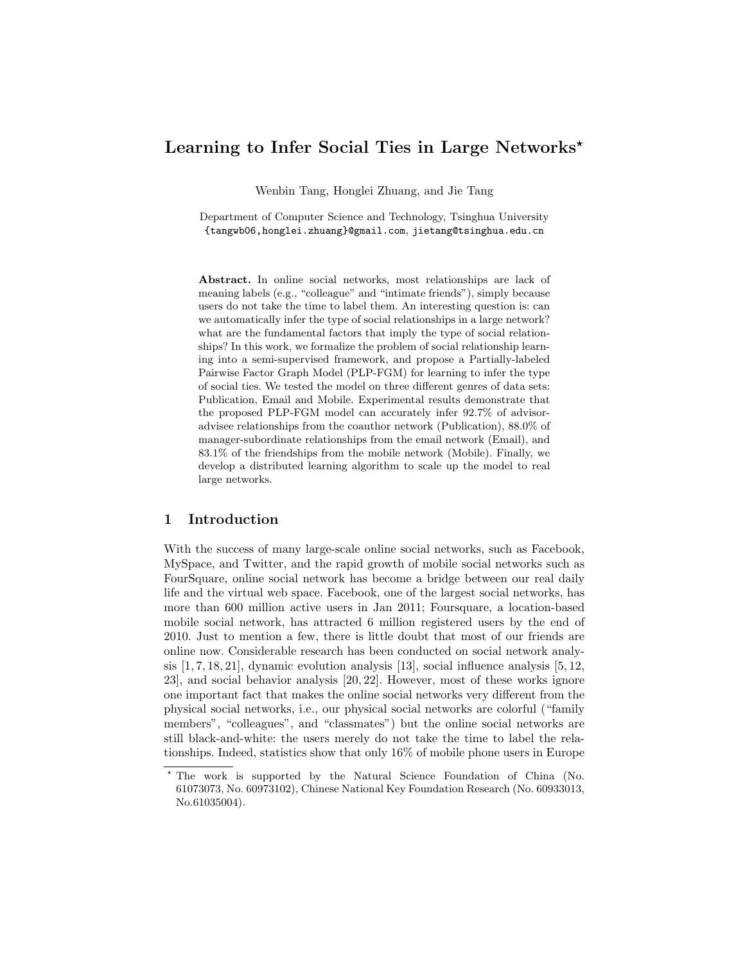# **Learning to Infer Social Ties in Large Networks***<sup>⋆</sup>*

Wenbin Tang, Honglei Zhuang, and Jie Tang

Department of Computer Science and Technology, Tsinghua University {tangwb06,honglei.zhuang}@gmail.com, jietang@tsinghua.edu.cn

**Abstract.** In online social networks, most relationships are lack of meaning labels (e.g., "colleague" and "intimate friends"), simply because users do not take the time to label them. An interesting question is: can we automatically infer the type of social relationships in a large network? what are the fundamental factors that imply the type of social relationships? In this work, we formalize the problem of social relationship learning into a semi-supervised framework, and propose a Partially-labeled Pairwise Factor Graph Model (PLP-FGM) for learning to infer the type of social ties. We tested the model on three different genres of data sets: Publication, Email and Mobile. Experimental results demonstrate that the proposed PLP-FGM model can accurately infer 92.7% of advisoradvisee relationships from the coauthor network (Publication), 88.0% of manager-subordinate relationships from the email network (Email), and 83.1% of the friendships from the mobile network (Mobile). Finally, we develop a distributed learning algorithm to scale up the model to real large networks.

### **1 Introduction**

With the success of many large-scale online social networks, such as Facebook, MySpace, and Twitter, and the rapid growth of mobile social networks such as FourSquare, online social network has become a bridge between our real daily life and the virtual web space. Facebook, one of the largest social networks, has more than 600 million active users in Jan 2011; Foursquare, a location-based mobile social network, has attracted 6 million registered users by the end of 2010. Just to mention a few, there is little doubt that most of our friends are online now. Considerable research has been conducted on social network analysis  $[1, 7, 18, 21]$ , dynamic evolution analysis  $[13]$ , social influence analysis  $[5, 12, 13]$ 23], and social behavior analysis [20, 22]. However, most of these works ignore one important fact that makes the online social networks very different from the physical social networks, i.e., our physical social networks are colorful ("family members", "colleagues", and "classmates") but the online social networks are still black-and-white: the users merely do not take the time to label the relationships. Indeed, statistics show that only 16% of mobile phone users in Europe

The work is supported by the Natural Science Foundation of China (No. 61073073, No. 60973102), Chinese National Key Foundation Research (No. 60933013, No.61035004).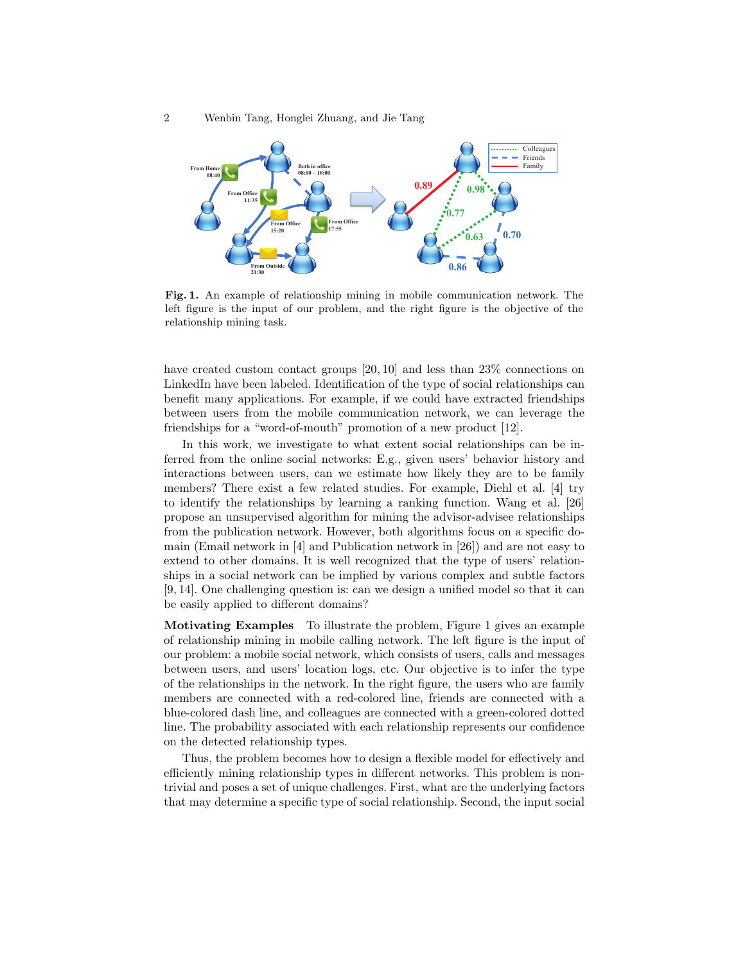

**Fig. 1.** An example of relationship mining in mobile communication network. The left figure is the input of our problem, and the right figure is the objective of the relationship mining task.

have created custom contact groups [20, 10] and less than 23\% connections on LinkedIn have been labeled. Identification of the type of social relationships can benefit many applications. For example, if we could have extracted friendships between users from the mobile communication network, we can leverage the friendships for a "word-of-mouth" promotion of a new product [12].

In this work, we investigate to what extent social relationships can be inferred from the online social networks: E.g., given users' behavior history and interactions between users, can we estimate how likely they are to be family members? There exist a few related studies. For example, Diehl et al. [4] try to identify the relationships by learning a ranking function. Wang et al. [26] propose an unsupervised algorithm for mining the advisor-advisee relationships from the publication network. However, both algorithms focus on a specific domain (Email network in [4] and Publication network in [26]) and are not easy to extend to other domains. It is well recognized that the type of users' relationships in a social network can be implied by various complex and subtle factors [9, 14]. One challenging question is: can we design a unified model so that it can be easily applied to different domains?

**Motivating Examples** To illustrate the problem, Figure 1 gives an example of relationship mining in mobile calling network. The left figure is the input of our problem: a mobile social network, which consists of users, calls and messages between users, and users' location logs, etc. Our objective is to infer the type of the relationships in the network. In the right figure, the users who are family members are connected with a red-colored line, friends are connected with a blue-colored dash line, and colleagues are connected with a green-colored dotted line. The probability associated with each relationship represents our confidence on the detected relationship types.

Thus, the problem becomes how to design a flexible model for effectively and efficiently mining relationship types in different networks. This problem is nontrivial and poses a set of unique challenges. First, what are the underlying factors that may determine a specific type of social relationship. Second, the input social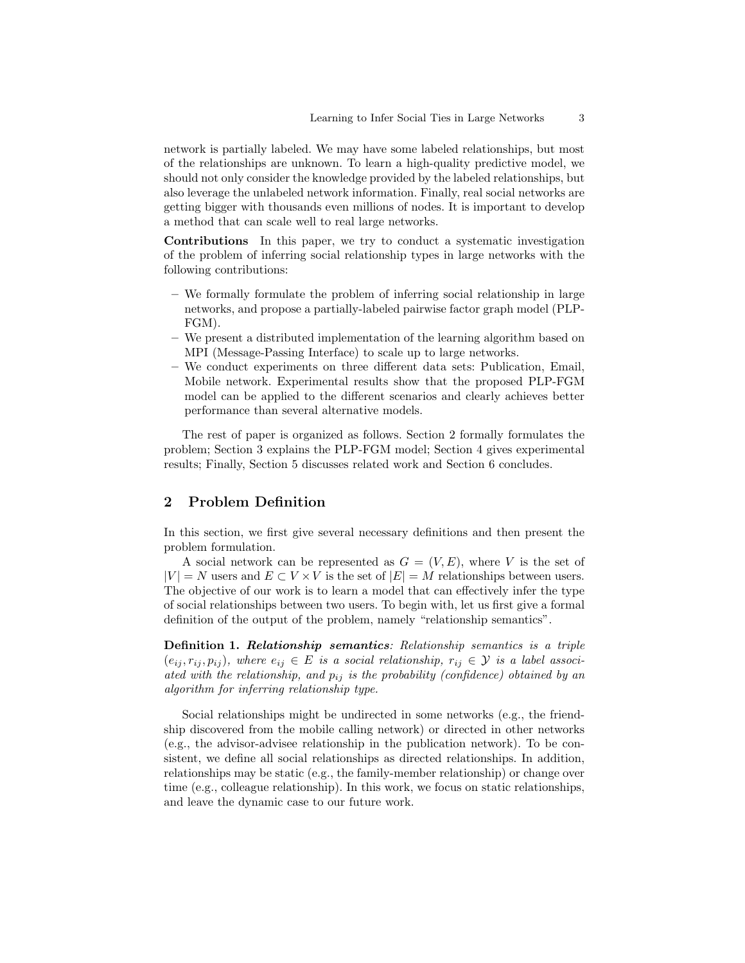network is partially labeled. We may have some labeled relationships, but most of the relationships are unknown. To learn a high-quality predictive model, we should not only consider the knowledge provided by the labeled relationships, but also leverage the unlabeled network information. Finally, real social networks are getting bigger with thousands even millions of nodes. It is important to develop a method that can scale well to real large networks.

**Contributions** In this paper, we try to conduct a systematic investigation of the problem of inferring social relationship types in large networks with the following contributions:

- **–** We formally formulate the problem of inferring social relationship in large networks, and propose a partially-labeled pairwise factor graph model (PLP-FGM).
- **–** We present a distributed implementation of the learning algorithm based on MPI (Message-Passing Interface) to scale up to large networks.
- **–** We conduct experiments on three different data sets: Publication, Email, Mobile network. Experimental results show that the proposed PLP-FGM model can be applied to the different scenarios and clearly achieves better performance than several alternative models.

The rest of paper is organized as follows. Section 2 formally formulates the problem; Section 3 explains the PLP-FGM model; Section 4 gives experimental results; Finally, Section 5 discusses related work and Section 6 concludes.

### **2 Problem Definition**

In this section, we first give several necessary definitions and then present the problem formulation.

A social network can be represented as  $G = (V, E)$ , where V is the set of *|V*  $|V|$  = *N* users and *E*  $\subset$  *V*  $\times$  *V* is the set of  $|E|$  = *M* relationships between users. The objective of our work is to learn a model that can effectively infer the type of social relationships between two users. To begin with, let us first give a formal definition of the output of the problem, namely "relationship semantics".

**Definition 1.** *Relationship semantics: Relationship semantics is a triple*  $(e_{ij}, r_{ij}, p_{ij})$ , where  $e_{ij} \in E$  is a social relationship,  $r_{ij} \in Y$  is a label associ*ated with the relationship, and pij is the probability (confidence) obtained by an algorithm for inferring relationship type.*

Social relationships might be undirected in some networks (e.g., the friendship discovered from the mobile calling network) or directed in other networks (e.g., the advisor-advisee relationship in the publication network). To be consistent, we define all social relationships as directed relationships. In addition, relationships may be static (e.g., the family-member relationship) or change over time (e.g., colleague relationship). In this work, we focus on static relationships, and leave the dynamic case to our future work.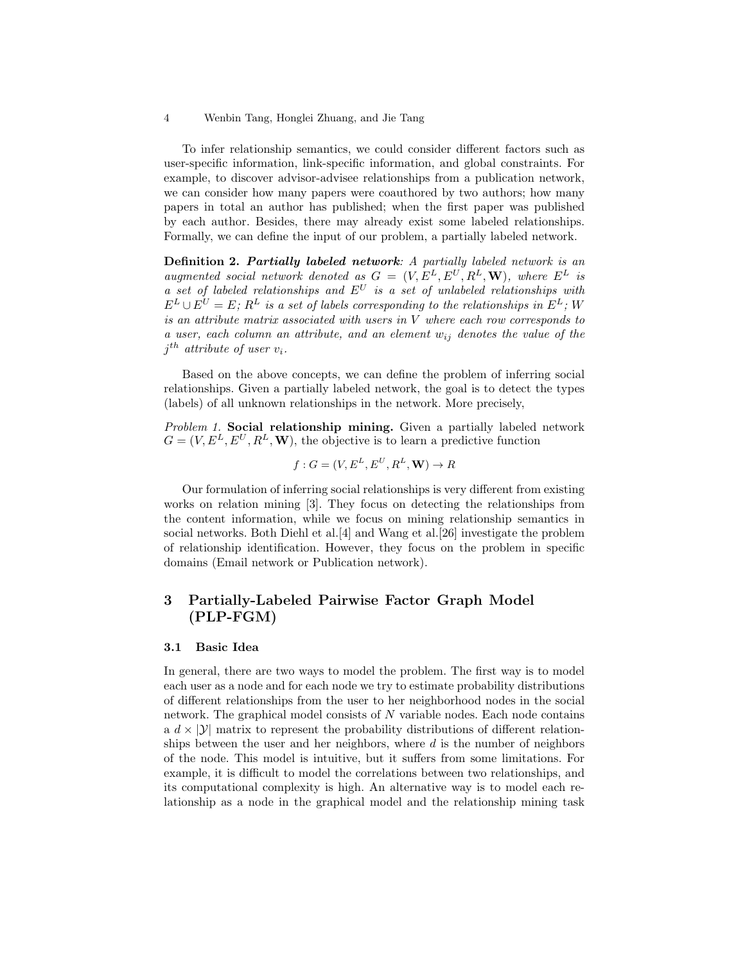To infer relationship semantics, we could consider different factors such as user-specific information, link-specific information, and global constraints. For example, to discover advisor-advisee relationships from a publication network, we can consider how many papers were coauthored by two authors; how many papers in total an author has published; when the first paper was published by each author. Besides, there may already exist some labeled relationships. Formally, we can define the input of our problem, a partially labeled network.

**Definition 2.** *Partially labeled network: A partially labeled network is an augmented social network denoted as*  $G = (V, E^L, E^U, R^L, \mathbf{W})$ *, where*  $E^L$  *is a set of labeled relationships and E<sup>U</sup> is a set of unlabeled relationships with*  $E^L \cup E^U = E$ ;  $R^L$  *is a set of labels corresponding to the relationships in*  $E^L$ ; *W is an attribute matrix associated with users in V where each row corresponds to a user, each column an attribute, and an element wij denotes the value of the j th attribute of user vi.*

Based on the above concepts, we can define the problem of inferring social relationships. Given a partially labeled network, the goal is to detect the types (labels) of all unknown relationships in the network. More precisely,

*Problem 1.* **Social relationship mining.** Given a partially labeled network  $G = (V, E^L, E^U, R^L, \mathbf{W})$ , the objective is to learn a predictive function

$$
f: G = (V, E^L, E^U, R^L, \mathbf{W}) \to R
$$

Our formulation of inferring social relationships is very different from existing works on relation mining [3]. They focus on detecting the relationships from the content information, while we focus on mining relationship semantics in social networks. Both Diehl et al.[4] and Wang et al.[26] investigate the problem of relationship identification. However, they focus on the problem in specific domains (Email network or Publication network).

# **3 Partially-Labeled Pairwise Factor Graph Model (PLP-FGM)**

#### **3.1 Basic Idea**

In general, there are two ways to model the problem. The first way is to model each user as a node and for each node we try to estimate probability distributions of different relationships from the user to her neighborhood nodes in the social network. The graphical model consists of *N* variable nodes. Each node contains a  $d \times |\mathcal{Y}|$  matrix to represent the probability distributions of different relationships between the user and her neighbors, where *d* is the number of neighbors of the node. This model is intuitive, but it suffers from some limitations. For example, it is difficult to model the correlations between two relationships, and its computational complexity is high. An alternative way is to model each relationship as a node in the graphical model and the relationship mining task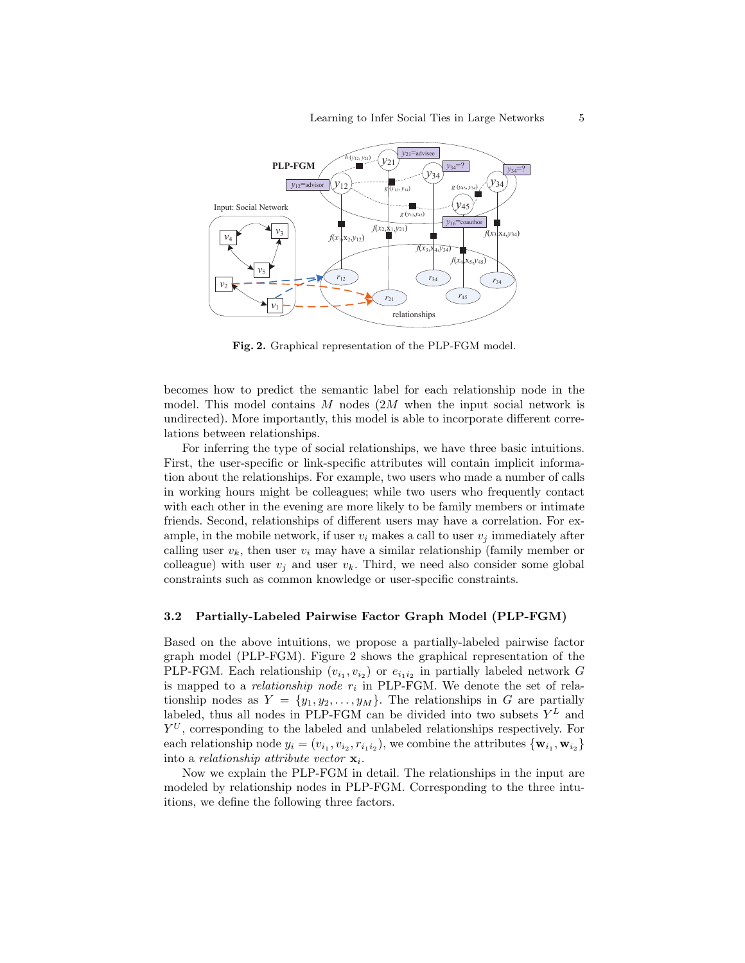

**Fig. 2.** Graphical representation of the PLP-FGM model.

becomes how to predict the semantic label for each relationship node in the model. This model contains *M* nodes (2*M* when the input social network is undirected). More importantly, this model is able to incorporate different correlations between relationships.

For inferring the type of social relationships, we have three basic intuitions. First, the user-specific or link-specific attributes will contain implicit information about the relationships. For example, two users who made a number of calls in working hours might be colleagues; while two users who frequently contact with each other in the evening are more likely to be family members or intimate friends. Second, relationships of different users may have a correlation. For example, in the mobile network, if user  $v_i$  makes a call to user  $v_j$  immediately after calling user  $v_k$ , then user  $v_i$  may have a similar relationship (family member or colleague) with user  $v_j$  and user  $v_k$ . Third, we need also consider some global constraints such as common knowledge or user-specific constraints.

#### **3.2 Partially-Labeled Pairwise Factor Graph Model (PLP-FGM)**

Based on the above intuitions, we propose a partially-labeled pairwise factor graph model (PLP-FGM). Figure 2 shows the graphical representation of the PLP-FGM. Each relationship  $(v_{i_1}, v_{i_2})$  or  $e_{i_1 i_2}$  in partially labeled network *G* is mapped to a *relationship node r<sup>i</sup>* in PLP-FGM. We denote the set of relationship nodes as  $Y = \{y_1, y_2, \ldots, y_M\}$ . The relationships in *G* are partially labeled, thus all nodes in PLP-FGM can be divided into two subsets  $Y^L$  and *Y <sup>U</sup>* , corresponding to the labeled and unlabeled relationships respectively. For each relationship node  $y_i = (v_{i_1}, v_{i_2}, r_{i_1 i_2})$ , we combine the attributes  $\{w_{i_1}, w_{i_2}\}\$ into a *relationship attribute vector* **x***<sup>i</sup>* .

Now we explain the PLP-FGM in detail. The relationships in the input are modeled by relationship nodes in PLP-FGM. Corresponding to the three intuitions, we define the following three factors.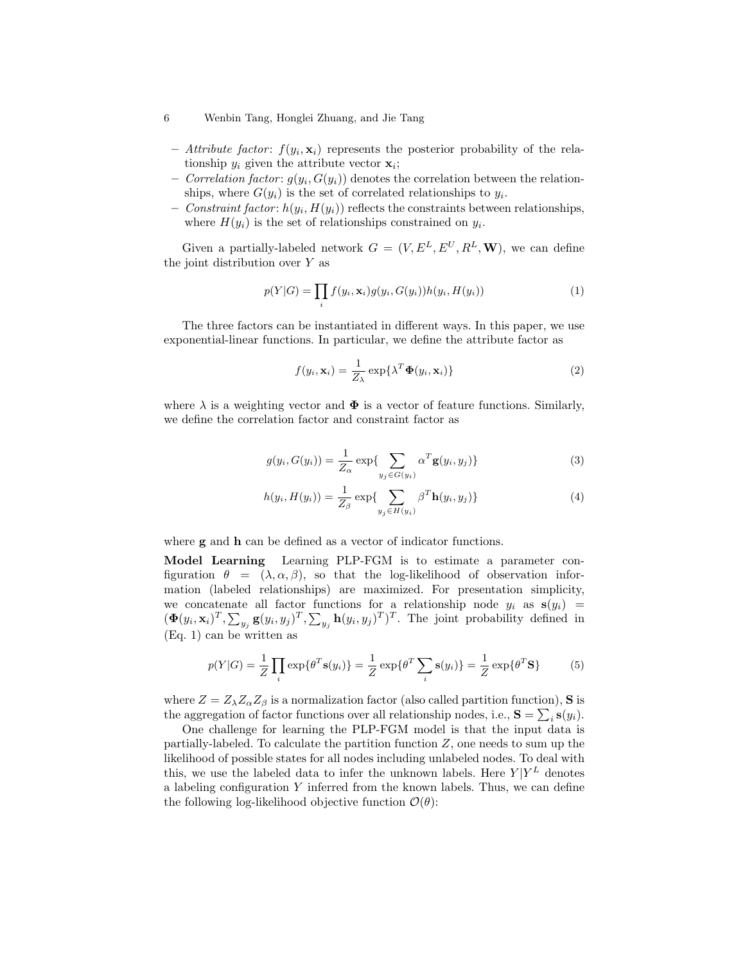- $-$  *Attribute factor*:  $f(y_i, \mathbf{x}_i)$  represents the posterior probability of the relationship  $y_i$  given the attribute vector  $\mathbf{x}_i$ ;
- $\sim$  *Correlation factor:*  $g(y_i, G(y_i))$  denotes the correlation between the relationships, where  $G(y_i)$  is the set of correlated relationships to  $y_i$ .
- $\sim$  *Constraint factor*:  $h(y_i, H(y_i))$  reflects the constraints between relationships, where  $H(y_i)$  is the set of relationships constrained on  $y_i$ .

Given a partially-labeled network  $G = (V, E^L, E^U, R^L, \mathbf{W})$ , we can define the joint distribution over *Y* as

$$
p(Y|G) = \prod_i f(y_i, \mathbf{x}_i) g(y_i, G(y_i)) h(y_i, H(y_i))
$$
\n(1)

The three factors can be instantiated in different ways. In this paper, we use exponential-linear functions. In particular, we define the attribute factor as

$$
f(y_i, \mathbf{x}_i) = \frac{1}{Z_{\lambda}} \exp\{\lambda^T \mathbf{\Phi}(y_i, \mathbf{x}_i)\}\tag{2}
$$

where  $\lambda$  is a weighting vector and  $\Phi$  is a vector of feature functions. Similarly, we define the correlation factor and constraint factor as

$$
g(y_i, G(y_i)) = \frac{1}{Z_{\alpha}} \exp\left\{\sum_{y_j \in G(y_i)} \alpha^T \mathbf{g}(y_i, y_j)\right\}
$$
(3)

$$
h(y_i, H(y_i)) = \frac{1}{Z_{\beta}} \exp\left\{\sum_{y_j \in H(y_i)} \beta^T \mathbf{h}(y_i, y_j)\right\}
$$
(4)

where **g** and **h** can be defined as a vector of indicator functions.

**Model Learning** Learning PLP-FGM is to estimate a parameter configuration  $\theta = (\lambda, \alpha, \beta)$ , so that the log-likelihood of observation information (labeled relationships) are maximized. For presentation simplicity, we concatenate all factor functions for a relationship node  $y_i$  as  $s(y_i)$  =  $(\Phi(y_i, \mathbf{x}_i)^T, \sum_{y_j} \mathbf{g}(y_i, y_j)^T, \sum_{y_j} \mathbf{h}(y_i, y_j)^T)^T$ . The joint probability defined in (Eq. 1) can be written as

$$
p(Y|G) = \frac{1}{Z} \prod_{i} \exp\{\theta^T \mathbf{s}(y_i)\} = \frac{1}{Z} \exp\{\theta^T \sum_{i} \mathbf{s}(y_i)\} = \frac{1}{Z} \exp\{\theta^T \mathbf{S}\}
$$
(5)

where  $Z = Z_{\lambda} Z_{\alpha} Z_{\beta}$  is a normalization factor (also called partition function), **S** is the aggregation of factor functions over all relationship nodes, i.e.,  $\mathbf{S} = \sum_i \mathbf{s}(y_i)$ .

One challenge for learning the PLP-FGM model is that the input data is partially-labeled. To calculate the partition function *Z*, one needs to sum up the likelihood of possible states for all nodes including unlabeled nodes. To deal with this, we use the labeled data to infer the unknown labels. Here  $Y|Y^L$  denotes a labeling configuration *Y* inferred from the known labels. Thus, we can define the following log-likelihood objective function  $\mathcal{O}(\theta)$ :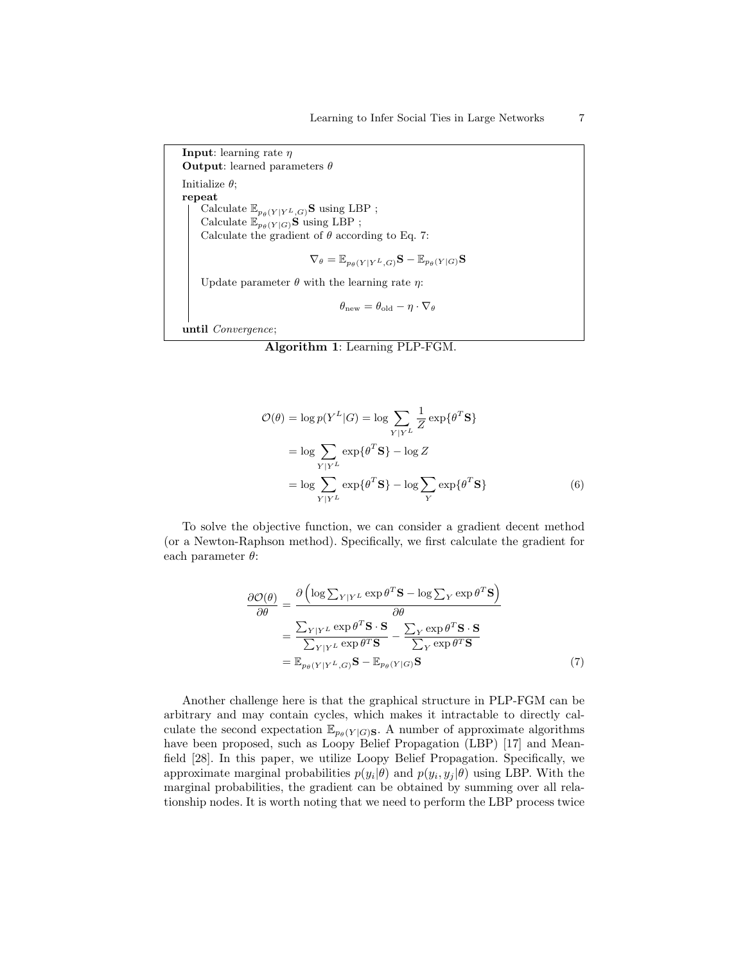**Input**: learning rate *η* **Output**: learned parameters *θ* Initialize *θ*; **repeat** Calculate  $\mathbb{E}_{p_{\theta}(Y|Y^L,G)}$ **S** using LBP ; Calculate  $\mathbb{E}_{p_{\theta}(Y|G)}$ **S** using LBP ; Calculate the gradient of  $\theta$  according to Eq. 7:  $\nabla_{\theta} = \mathbb{E}_{p_{\theta}(Y|Y^L,G)}$ **S**  $-\mathbb{E}_{p_{\theta}(Y|G)}$ **S** Update parameter  $\theta$  with the learning rate  $\eta$ :  $\theta_{\text{new}} = \theta_{\text{old}} - \eta \cdot \nabla_{\theta}$ **until** *Convergence*;

**Algorithm 1**: Learning PLP-FGM.

$$
\mathcal{O}(\theta) = \log p(Y^L | G) = \log \sum_{Y | Y^L} \frac{1}{Z} \exp{\theta^T \mathbf{S}}
$$
  
=  $\log \sum_{Y | Y^L} \exp{\theta^T \mathbf{S}} - \log Z$   
=  $\log \sum_{Y | Y^L} \exp{\theta^T \mathbf{S}} - \log \sum_{Y} \exp{\theta^T \mathbf{S}}$  (6)

To solve the objective function, we can consider a gradient decent method (or a Newton-Raphson method). Specifically, we first calculate the gradient for each parameter *θ*:

$$
\frac{\partial \mathcal{O}(\theta)}{\partial \theta} = \frac{\partial \left( \log \sum_{Y|Y^L} \exp \theta^T \mathbf{S} - \log \sum_{Y} \exp \theta^T \mathbf{S} \right)}{\partial \theta} \n= \frac{\sum_{Y|Y^L} \exp \theta^T \mathbf{S} \cdot \mathbf{S}}{\sum_{Y|Y^L} \exp \theta^T \mathbf{S}} - \frac{\sum_{Y} \exp \theta^T \mathbf{S} \cdot \mathbf{S}}{\sum_{Y} \exp \theta^T \mathbf{S}} \n= \mathbb{E}_{p_{\theta}(Y|Y^L, G)} \mathbf{S} - \mathbb{E}_{p_{\theta}(Y|G)} \mathbf{S}
$$
\n(7)

Another challenge here is that the graphical structure in PLP-FGM can be arbitrary and may contain cycles, which makes it intractable to directly calculate the second expectation  $\mathbb{E}_{p_{\theta}(Y|G)S}$ . A number of approximate algorithms have been proposed, such as Loopy Belief Propagation (LBP) [17] and Meanfield [28]. In this paper, we utilize Loopy Belief Propagation. Specifically, we approximate marginal probabilities  $p(y_i|\theta)$  and  $p(y_i, y_j|\theta)$  using LBP. With the marginal probabilities, the gradient can be obtained by summing over all relationship nodes. It is worth noting that we need to perform the LBP process twice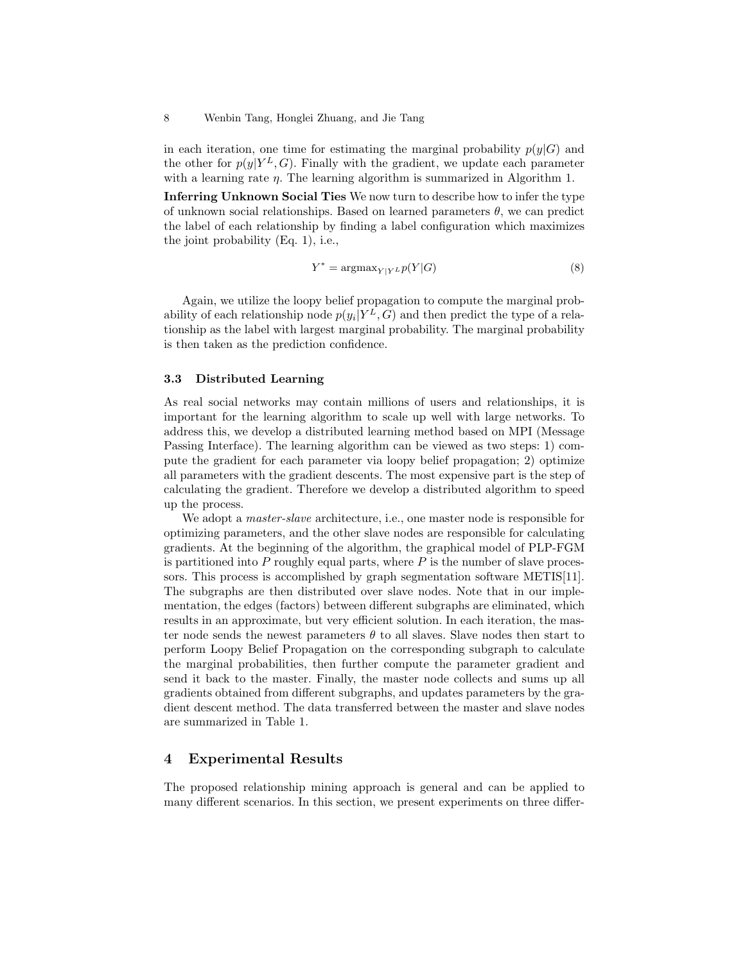in each iteration, one time for estimating the marginal probability  $p(y|G)$  and the other for  $p(y|Y^L, G)$ . Finally with the gradient, we update each parameter with a learning rate  $\eta$ . The learning algorithm is summarized in Algorithm 1.

**Inferring Unknown Social Ties** We now turn to describe how to infer the type of unknown social relationships. Based on learned parameters *θ*, we can predict the label of each relationship by finding a label configuration which maximizes the joint probability (Eq. 1), i.e.,

$$
Y^* = \operatorname{argmax}_{Y|Y} p(Y|G) \tag{8}
$$

Again, we utilize the loopy belief propagation to compute the marginal probability of each relationship node  $p(y_i|Y^L, G)$  and then predict the type of a relationship as the label with largest marginal probability. The marginal probability is then taken as the prediction confidence.

#### **3.3 Distributed Learning**

As real social networks may contain millions of users and relationships, it is important for the learning algorithm to scale up well with large networks. To address this, we develop a distributed learning method based on MPI (Message Passing Interface). The learning algorithm can be viewed as two steps: 1) compute the gradient for each parameter via loopy belief propagation; 2) optimize all parameters with the gradient descents. The most expensive part is the step of calculating the gradient. Therefore we develop a distributed algorithm to speed up the process.

We adopt a *master-slave* architecture, i.e., one master node is responsible for optimizing parameters, and the other slave nodes are responsible for calculating gradients. At the beginning of the algorithm, the graphical model of PLP-FGM is partitioned into  $P$  roughly equal parts, where  $P$  is the number of slave processors. This process is accomplished by graph segmentation software METIS[11]. The subgraphs are then distributed over slave nodes. Note that in our implementation, the edges (factors) between different subgraphs are eliminated, which results in an approximate, but very efficient solution. In each iteration, the master node sends the newest parameters  $\theta$  to all slaves. Slave nodes then start to perform Loopy Belief Propagation on the corresponding subgraph to calculate the marginal probabilities, then further compute the parameter gradient and send it back to the master. Finally, the master node collects and sums up all gradients obtained from different subgraphs, and updates parameters by the gradient descent method. The data transferred between the master and slave nodes are summarized in Table 1.

# **4 Experimental Results**

The proposed relationship mining approach is general and can be applied to many different scenarios. In this section, we present experiments on three differ-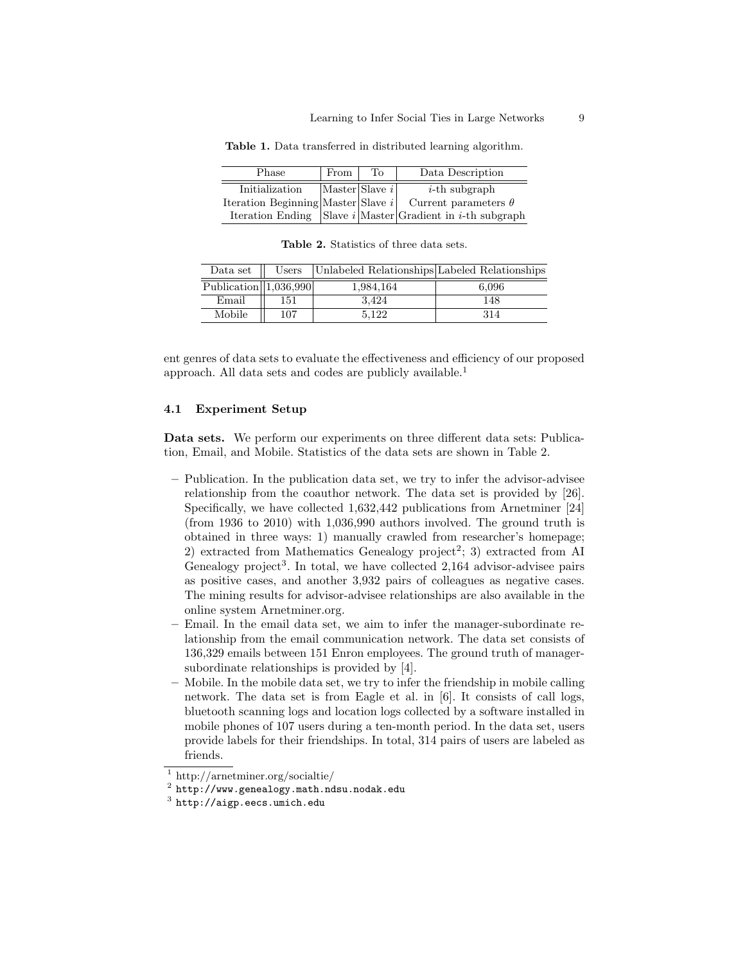| Phase          | From               | To | Data Description                                               |
|----------------|--------------------|----|----------------------------------------------------------------|
| Initialization | $ Master $ Slave i |    | $i$ -th subgraph                                               |
|                |                    |    | Iteration Beginning Master Slave i Current parameters $\theta$ |
|                |                    |    | Iteration Ending Slave $i$ Master Gradient in $i$ -th subgraph |

**Table 1.** Data transferred in distributed learning algorithm.

| Data set                  |     | Users   Unlabeled Relationships Labeled Relationships |       |
|---------------------------|-----|-------------------------------------------------------|-------|
| Publication $ 1,036,990 $ |     | 1,984,164                                             | 6.096 |
| Email                     | 151 | 3.424                                                 | 148   |

Mobile | 107 | 5,122 | 314

**Table 2.** Statistics of three data sets.

ent genres of data sets to evaluate the effectiveness and efficiency of our proposed approach. All data sets and codes are publicly available.<sup>1</sup>

#### **4.1 Experiment Setup**

**Data sets.** We perform our experiments on three different data sets: Publication, Email, and Mobile. Statistics of the data sets are shown in Table 2.

- **–** Publication. In the publication data set, we try to infer the advisor-advisee relationship from the coauthor network. The data set is provided by [26]. Specifically, we have collected 1,632,442 publications from Arnetminer [24] (from 1936 to 2010) with 1,036,990 authors involved. The ground truth is obtained in three ways: 1) manually crawled from researcher's homepage; 2) extracted from Mathematics Genealogy  $project^2; 3)$  extracted from AI Genealogy project<sup>3</sup>. In total, we have collected  $2,164$  advisor-advisee pairs as positive cases, and another 3,932 pairs of colleagues as negative cases. The mining results for advisor-advisee relationships are also available in the online system Arnetminer.org.
- **–** Email. In the email data set, we aim to infer the manager-subordinate relationship from the email communication network. The data set consists of 136,329 emails between 151 Enron employees. The ground truth of managersubordinate relationships is provided by [4].
- **–** Mobile. In the mobile data set, we try to infer the friendship in mobile calling network. The data set is from Eagle et al. in [6]. It consists of call logs, bluetooth scanning logs and location logs collected by a software installed in mobile phones of 107 users during a ten-month period. In the data set, users provide labels for their friendships. In total, 314 pairs of users are labeled as friends.

<sup>1</sup> http://arnetminer.org/socialtie/

 $^2$  http://www.genealogy.math.ndsu.nodak.edu

 $^3$  http://aigp.eecs.umich.edu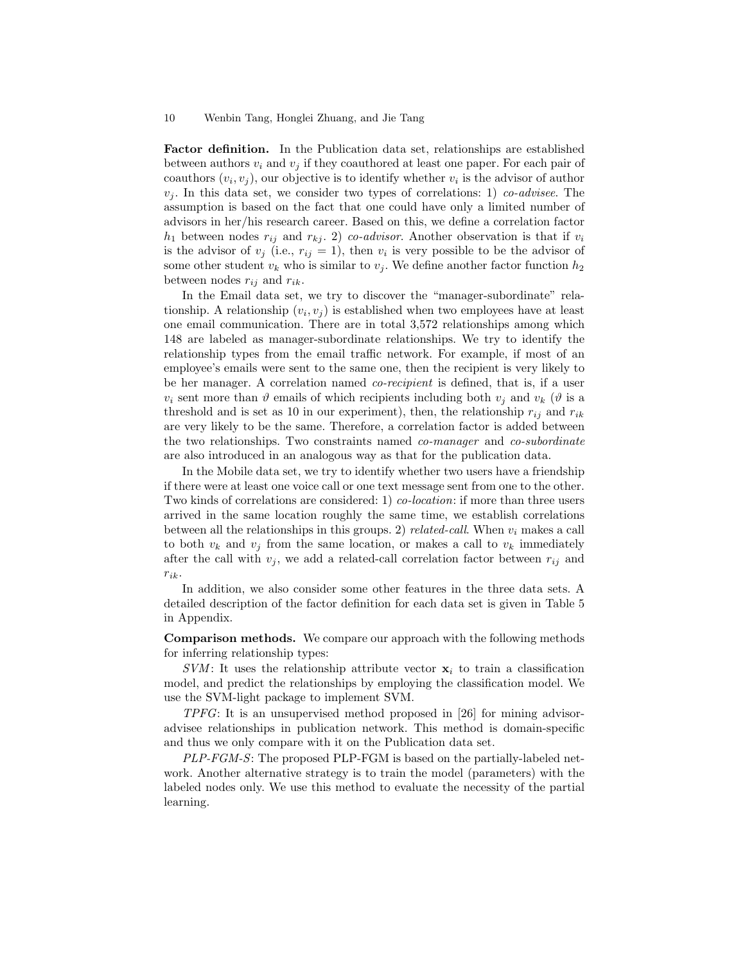**Factor definition.** In the Publication data set, relationships are established between authors  $v_i$  and  $v_j$  if they coauthored at least one paper. For each pair of coauthors  $(v_i, v_j)$ , our objective is to identify whether  $v_i$  is the advisor of author  $v_j$ . In this data set, we consider two types of correlations: 1) *co-advisee*. The assumption is based on the fact that one could have only a limited number of advisors in her/his research career. Based on this, we define a correlation factor  $h_1$  between nodes  $r_{ij}$  and  $r_{kj}$ . 2) *co-advisor*. Another observation is that if  $v_i$ is the advisor of  $v_j$  (i.e.,  $r_{ij} = 1$ ), then  $v_i$  is very possible to be the advisor of some other student  $v_k$  who is similar to  $v_j$ . We define another factor function  $h_2$ between nodes  $r_{ij}$  and  $r_{ik}$ .

In the Email data set, we try to discover the "manager-subordinate" relationship. A relationship  $(v_i, v_j)$  is established when two employees have at least one email communication. There are in total 3,572 relationships among which 148 are labeled as manager-subordinate relationships. We try to identify the relationship types from the email traffic network. For example, if most of an employee's emails were sent to the same one, then the recipient is very likely to be her manager. A correlation named *co-recipient* is defined, that is, if a user  $v_i$  sent more than  $\vartheta$  emails of which recipients including both  $v_j$  and  $v_k$  ( $\vartheta$  is a threshold and is set as 10 in our experiment), then, the relationship  $r_{ij}$  and  $r_{ik}$ are very likely to be the same. Therefore, a correlation factor is added between the two relationships. Two constraints named *co-manager* and *co-subordinate* are also introduced in an analogous way as that for the publication data.

In the Mobile data set, we try to identify whether two users have a friendship if there were at least one voice call or one text message sent from one to the other. Two kinds of correlations are considered: 1) *co-location*: if more than three users arrived in the same location roughly the same time, we establish correlations between all the relationships in this groups. 2) *related-call*. When *v<sup>i</sup>* makes a call to both  $v_k$  and  $v_j$  from the same location, or makes a call to  $v_k$  immediately after the call with  $v_j$ , we add a related-call correlation factor between  $r_{ij}$  and *rik*.

In addition, we also consider some other features in the three data sets. A detailed description of the factor definition for each data set is given in Table 5 in Appendix.

**Comparison methods.** We compare our approach with the following methods for inferring relationship types:

*SVM*: It uses the relationship attribute vector  $\mathbf{x}_i$  to train a classification model, and predict the relationships by employing the classification model. We use the SVM-light package to implement SVM.

*TPFG*: It is an unsupervised method proposed in [26] for mining advisoradvisee relationships in publication network. This method is domain-specific and thus we only compare with it on the Publication data set.

*PLP-FGM-S*: The proposed PLP-FGM is based on the partially-labeled network. Another alternative strategy is to train the model (parameters) with the labeled nodes only. We use this method to evaluate the necessity of the partial learning.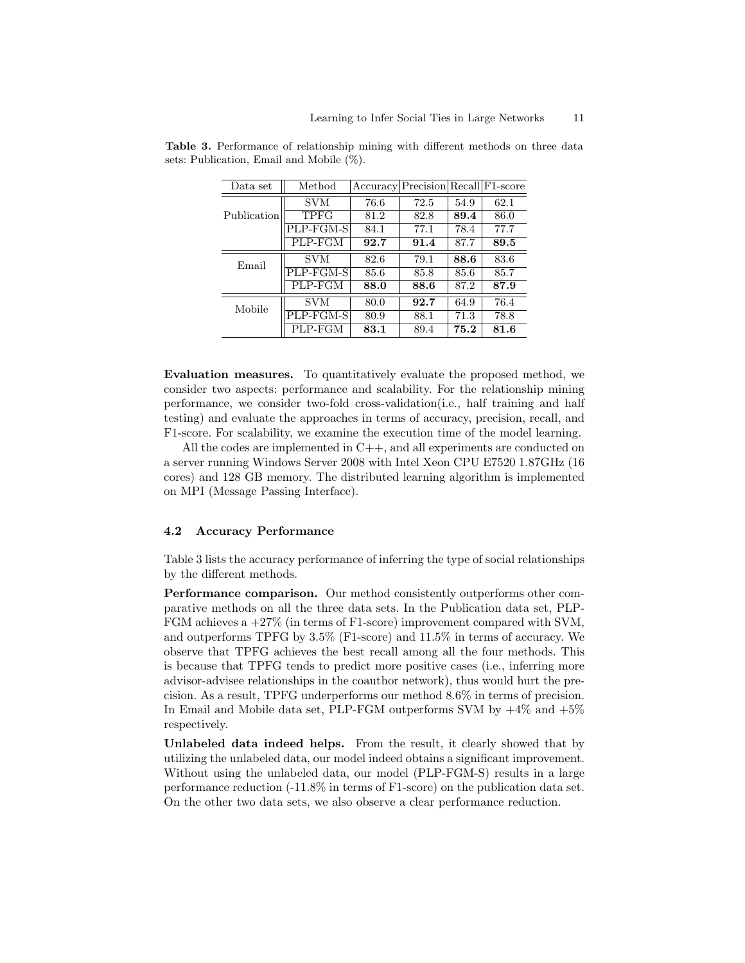| Data set    | Method      |      | $\text{Accuracy}$ Precision Recall $\boxed{\text{F1-score}}$ |      |      |
|-------------|-------------|------|--------------------------------------------------------------|------|------|
|             | <b>SVM</b>  | 76.6 | 72.5                                                         | 54.9 | 62.1 |
| Publication | <b>TPFG</b> | 81.2 | 82.8                                                         | 89.4 | 86.0 |
|             | PLP-FGM-S   | 84.1 | 77.1                                                         | 78.4 | 77.7 |
|             | PLP-FGM     | 92.7 | 91.4                                                         | 87.7 | 89.5 |
| Email       | <b>SVM</b>  | 82.6 | 79.1                                                         | 88.6 | 83.6 |
|             | PLP-FGM-S   | 85.6 | 85.8                                                         | 85.6 | 85.7 |
|             | PLP-FGM     | 88.0 | 88.6                                                         | 87.2 | 87.9 |
| Mobile      | <b>SVM</b>  | 80.0 | 92.7                                                         | 64.9 | 76.4 |
|             | PLP-FGM-S   | 80.9 | 88.1                                                         | 71.3 | 78.8 |
|             | PLP-FGM     | 83.1 | 89.4                                                         | 75.2 | 81.6 |

**Table 3.** Performance of relationship mining with different methods on three data sets: Publication, Email and Mobile (%).

**Evaluation measures.** To quantitatively evaluate the proposed method, we consider two aspects: performance and scalability. For the relationship mining performance, we consider two-fold cross-validation(i.e., half training and half testing) and evaluate the approaches in terms of accuracy, precision, recall, and F1-score. For scalability, we examine the execution time of the model learning.

All the codes are implemented in C++, and all experiments are conducted on a server running Windows Server 2008 with Intel Xeon CPU E7520 1.87GHz (16 cores) and 128 GB memory. The distributed learning algorithm is implemented on MPI (Message Passing Interface).

#### **4.2 Accuracy Performance**

Table 3 lists the accuracy performance of inferring the type of social relationships by the different methods.

**Performance comparison.** Our method consistently outperforms other comparative methods on all the three data sets. In the Publication data set, PLP-FGM achieves a +27% (in terms of F1-score) improvement compared with SVM, and outperforms TPFG by 3.5% (F1-score) and 11.5% in terms of accuracy. We observe that TPFG achieves the best recall among all the four methods. This is because that TPFG tends to predict more positive cases (i.e., inferring more advisor-advisee relationships in the coauthor network), thus would hurt the precision. As a result, TPFG underperforms our method 8.6% in terms of precision. In Email and Mobile data set, PLP-FGM outperforms SVM by  $+4\%$  and  $+5\%$ respectively.

**Unlabeled data indeed helps.** From the result, it clearly showed that by utilizing the unlabeled data, our model indeed obtains a significant improvement. Without using the unlabeled data, our model (PLP-FGM-S) results in a large performance reduction (-11.8% in terms of F1-score) on the publication data set. On the other two data sets, we also observe a clear performance reduction.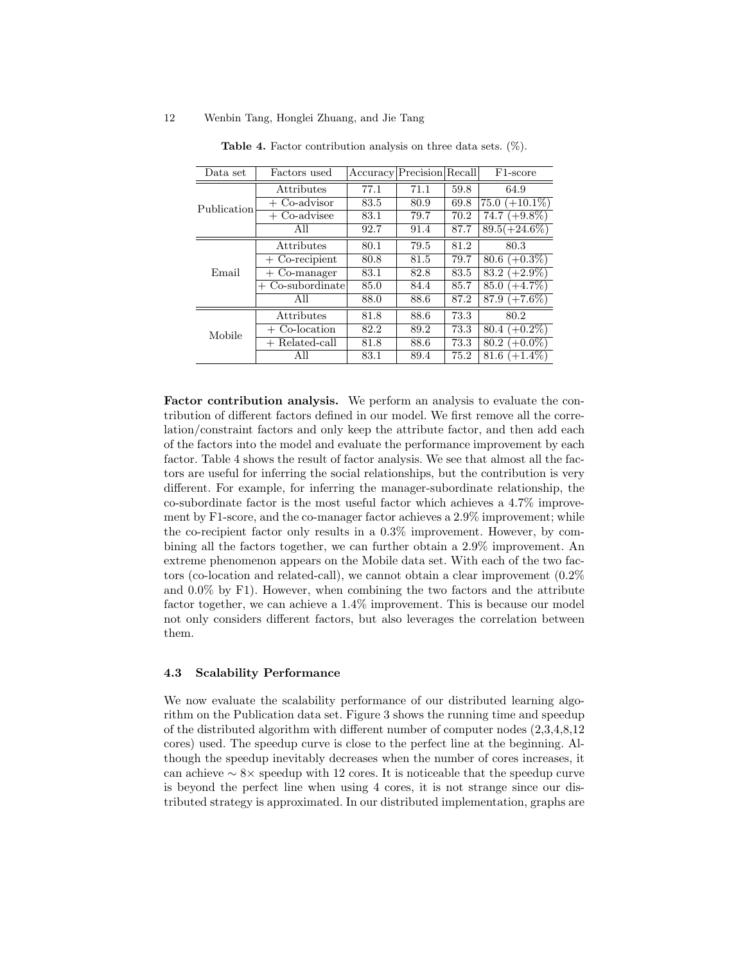| Data set    | Factors used       | Accuracy | Precision Recall |      | F <sub>1</sub> -score |
|-------------|--------------------|----------|------------------|------|-----------------------|
| Publication | Attributes         | 77.1     | 71.1             | 59.8 | 64.9                  |
|             | Co-advisor         | 83.5     | 80.9             | 69.8 | 75.0 $(+10.1\%)$      |
|             | $+$ Co-advisee     | 83.1     | 79.7             | 70.2 | 74.7 $(+9.8\%)$       |
|             | All                | 92.7     | 91.4             | 87.7 | $89.5(+24.6\%)$       |
| Email       | Attributes         | 80.1     | 79.5             | 81.2 | 80.3                  |
|             | $+$ Co-recipient   | 80.8     | 81.5             | 79.7 | $80.6~(+0.3\%)$       |
|             | $+$ Co-manager     | 83.1     | 82.8             | 83.5 | 83.2 $(+2.9\%)$       |
|             | $+$ Co-subordinate | 85.0     | 84.4             | 85.7 | $85.0 (+4.7\%)$       |
|             | All                | 88.0     | 88.6             | 87.2 | $87.9 (+7.6%)$        |
| Mobile      | Attributes         | 81.8     | 88.6             | 73.3 | 80.2                  |
|             | $+$ Co-location    | 82.2     | 89.2             | 73.3 | $80.4 (+0.2\%)$       |
|             | $+$ Related-call   | 81.8     | 88.6             | 73.3 | $80.2 (+0.0\%)$       |
|             | All                | 83.1     | 89.4             | 75.2 | $81.6 (+1.4\%)$       |

**Table 4.** Factor contribution analysis on three data sets. (%).

**Factor contribution analysis.** We perform an analysis to evaluate the contribution of different factors defined in our model. We first remove all the correlation/constraint factors and only keep the attribute factor, and then add each of the factors into the model and evaluate the performance improvement by each factor. Table 4 shows the result of factor analysis. We see that almost all the factors are useful for inferring the social relationships, but the contribution is very different. For example, for inferring the manager-subordinate relationship, the co-subordinate factor is the most useful factor which achieves a 4.7% improvement by F1-score, and the co-manager factor achieves a 2.9% improvement; while the co-recipient factor only results in a 0.3% improvement. However, by combining all the factors together, we can further obtain a 2.9% improvement. An extreme phenomenon appears on the Mobile data set. With each of the two factors (co-location and related-call), we cannot obtain a clear improvement (0.2% and  $0.0\%$  by F1). However, when combining the two factors and the attribute factor together, we can achieve a 1.4% improvement. This is because our model not only considers different factors, but also leverages the correlation between them.

#### **4.3 Scalability Performance**

We now evaluate the scalability performance of our distributed learning algorithm on the Publication data set. Figure 3 shows the running time and speedup of the distributed algorithm with different number of computer nodes (2,3,4,8,12 cores) used. The speedup curve is close to the perfect line at the beginning. Although the speedup inevitably decreases when the number of cores increases, it can achieve *∼* 8*×* speedup with 12 cores. It is noticeable that the speedup curve is beyond the perfect line when using 4 cores, it is not strange since our distributed strategy is approximated. In our distributed implementation, graphs are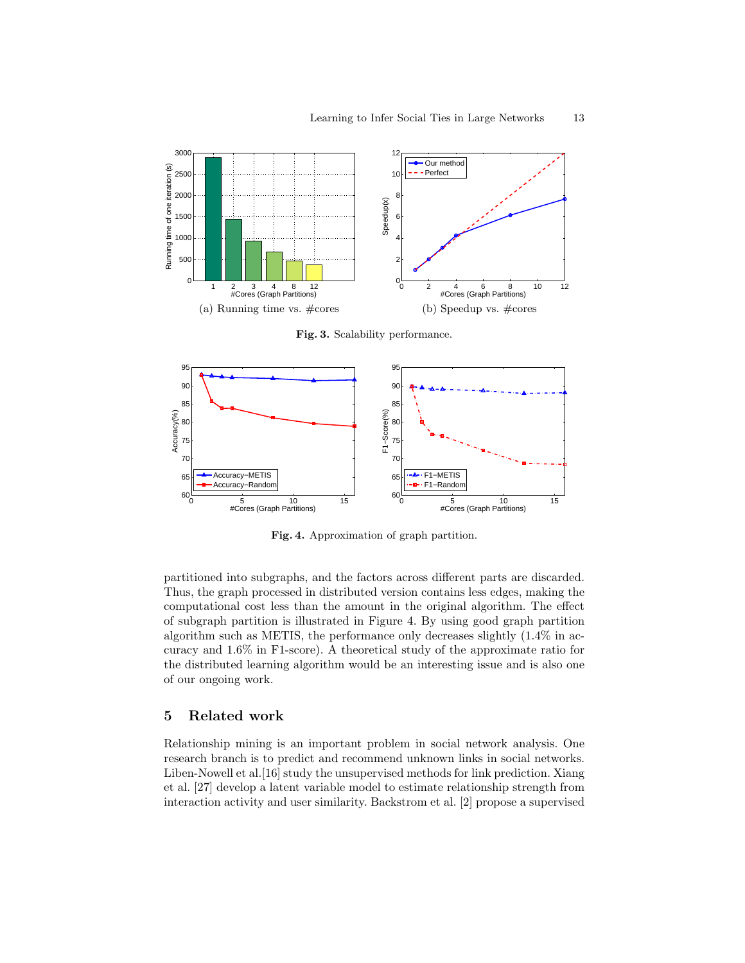

**Fig. 3.** Scalability performance.



**Fig. 4.** Approximation of graph partition.

partitioned into subgraphs, and the factors across different parts are discarded. Thus, the graph processed in distributed version contains less edges, making the computational cost less than the amount in the original algorithm. The effect of subgraph partition is illustrated in Figure 4. By using good graph partition algorithm such as METIS, the performance only decreases slightly (1.4% in accuracy and 1.6% in F1-score). A theoretical study of the approximate ratio for the distributed learning algorithm would be an interesting issue and is also one of our ongoing work.

# **5 Related work**

Relationship mining is an important problem in social network analysis. One research branch is to predict and recommend unknown links in social networks. Liben-Nowell et al. [16] study the unsupervised methods for link prediction. Xiang et al. [27] develop a latent variable model to estimate relationship strength from interaction activity and user similarity. Backstrom et al. [2] propose a supervised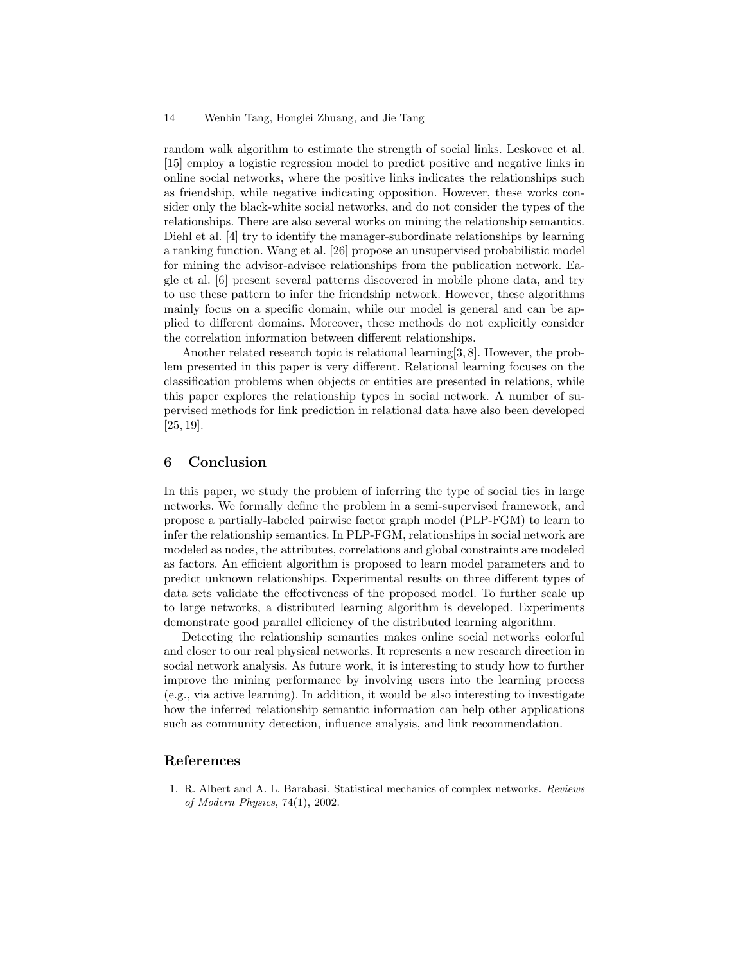random walk algorithm to estimate the strength of social links. Leskovec et al. [15] employ a logistic regression model to predict positive and negative links in online social networks, where the positive links indicates the relationships such as friendship, while negative indicating opposition. However, these works consider only the black-white social networks, and do not consider the types of the relationships. There are also several works on mining the relationship semantics. Diehl et al. [4] try to identify the manager-subordinate relationships by learning a ranking function. Wang et al. [26] propose an unsupervised probabilistic model for mining the advisor-advisee relationships from the publication network. Eagle et al. [6] present several patterns discovered in mobile phone data, and try to use these pattern to infer the friendship network. However, these algorithms mainly focus on a specific domain, while our model is general and can be applied to different domains. Moreover, these methods do not explicitly consider the correlation information between different relationships.

Another related research topic is relational learning[3, 8]. However, the problem presented in this paper is very different. Relational learning focuses on the classification problems when objects or entities are presented in relations, while this paper explores the relationship types in social network. A number of supervised methods for link prediction in relational data have also been developed [25, 19].

### **6 Conclusion**

In this paper, we study the problem of inferring the type of social ties in large networks. We formally define the problem in a semi-supervised framework, and propose a partially-labeled pairwise factor graph model (PLP-FGM) to learn to infer the relationship semantics. In PLP-FGM, relationships in social network are modeled as nodes, the attributes, correlations and global constraints are modeled as factors. An efficient algorithm is proposed to learn model parameters and to predict unknown relationships. Experimental results on three different types of data sets validate the effectiveness of the proposed model. To further scale up to large networks, a distributed learning algorithm is developed. Experiments demonstrate good parallel efficiency of the distributed learning algorithm.

Detecting the relationship semantics makes online social networks colorful and closer to our real physical networks. It represents a new research direction in social network analysis. As future work, it is interesting to study how to further improve the mining performance by involving users into the learning process (e.g., via active learning). In addition, it would be also interesting to investigate how the inferred relationship semantic information can help other applications such as community detection, influence analysis, and link recommendation.

# **References**

1. R. Albert and A. L. Barabasi. Statistical mechanics of complex networks. *Reviews of Modern Physics*, 74(1), 2002.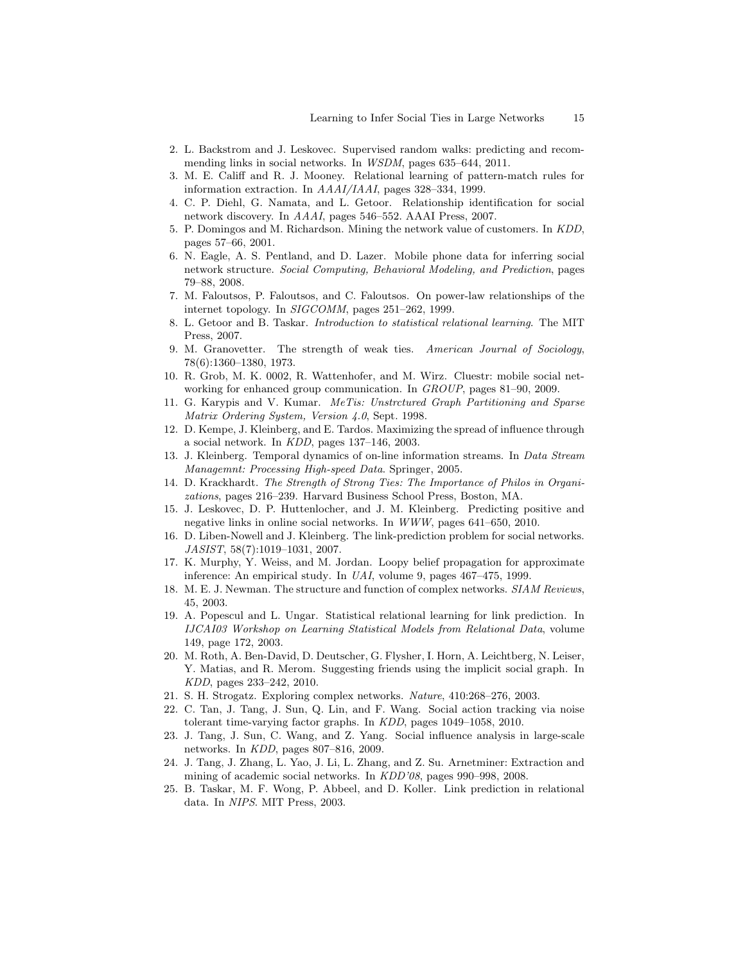- 2. L. Backstrom and J. Leskovec. Supervised random walks: predicting and recommending links in social networks. In *WSDM*, pages 635–644, 2011.
- 3. M. E. Califf and R. J. Mooney. Relational learning of pattern-match rules for information extraction. In *AAAI/IAAI*, pages 328–334, 1999.
- 4. C. P. Diehl, G. Namata, and L. Getoor. Relationship identification for social network discovery. In *AAAI*, pages 546–552. AAAI Press, 2007.
- 5. P. Domingos and M. Richardson. Mining the network value of customers. In *KDD*, pages 57–66, 2001.
- 6. N. Eagle, A. S. Pentland, and D. Lazer. Mobile phone data for inferring social network structure. *Social Computing, Behavioral Modeling, and Prediction*, pages 79–88, 2008.
- 7. M. Faloutsos, P. Faloutsos, and C. Faloutsos. On power-law relationships of the internet topology. In *SIGCOMM*, pages 251–262, 1999.
- 8. L. Getoor and B. Taskar. *Introduction to statistical relational learning*. The MIT Press, 2007.
- 9. M. Granovetter. The strength of weak ties. *American Journal of Sociology*, 78(6):1360–1380, 1973.
- 10. R. Grob, M. K. 0002, R. Wattenhofer, and M. Wirz. Cluestr: mobile social networking for enhanced group communication. In *GROUP*, pages 81–90, 2009.
- 11. G. Karypis and V. Kumar. *MeTis: Unstrctured Graph Partitioning and Sparse Matrix Ordering System, Version 4.0*, Sept. 1998.
- 12. D. Kempe, J. Kleinberg, and E. Tardos. Maximizing the spread of influence through a social network. In *KDD*, pages 137–146, 2003.
- 13. J. Kleinberg. Temporal dynamics of on-line information streams. In *Data Stream Managemnt: Processing High-speed Data*. Springer, 2005.
- 14. D. Krackhardt. *The Strength of Strong Ties: The Importance of Philos in Organizations*, pages 216–239. Harvard Business School Press, Boston, MA.
- 15. J. Leskovec, D. P. Huttenlocher, and J. M. Kleinberg. Predicting positive and negative links in online social networks. In *WWW*, pages 641–650, 2010.
- 16. D. Liben-Nowell and J. Kleinberg. The link-prediction problem for social networks. *JASIST*, 58(7):1019–1031, 2007.
- 17. K. Murphy, Y. Weiss, and M. Jordan. Loopy belief propagation for approximate inference: An empirical study. In *UAI*, volume 9, pages 467–475, 1999.
- 18. M. E. J. Newman. The structure and function of complex networks. *SIAM Reviews*, 45, 2003.
- 19. A. Popescul and L. Ungar. Statistical relational learning for link prediction. In *IJCAI03 Workshop on Learning Statistical Models from Relational Data*, volume 149, page 172, 2003.
- 20. M. Roth, A. Ben-David, D. Deutscher, G. Flysher, I. Horn, A. Leichtberg, N. Leiser, Y. Matias, and R. Merom. Suggesting friends using the implicit social graph. In *KDD*, pages 233–242, 2010.
- 21. S. H. Strogatz. Exploring complex networks. *Nature*, 410:268–276, 2003.
- 22. C. Tan, J. Tang, J. Sun, Q. Lin, and F. Wang. Social action tracking via noise tolerant time-varying factor graphs. In *KDD*, pages 1049–1058, 2010.
- 23. J. Tang, J. Sun, C. Wang, and Z. Yang. Social influence analysis in large-scale networks. In *KDD*, pages 807–816, 2009.
- 24. J. Tang, J. Zhang, L. Yao, J. Li, L. Zhang, and Z. Su. Arnetminer: Extraction and mining of academic social networks. In *KDD'08*, pages 990–998, 2008.
- 25. B. Taskar, M. F. Wong, P. Abbeel, and D. Koller. Link prediction in relational data. In *NIPS*. MIT Press, 2003.